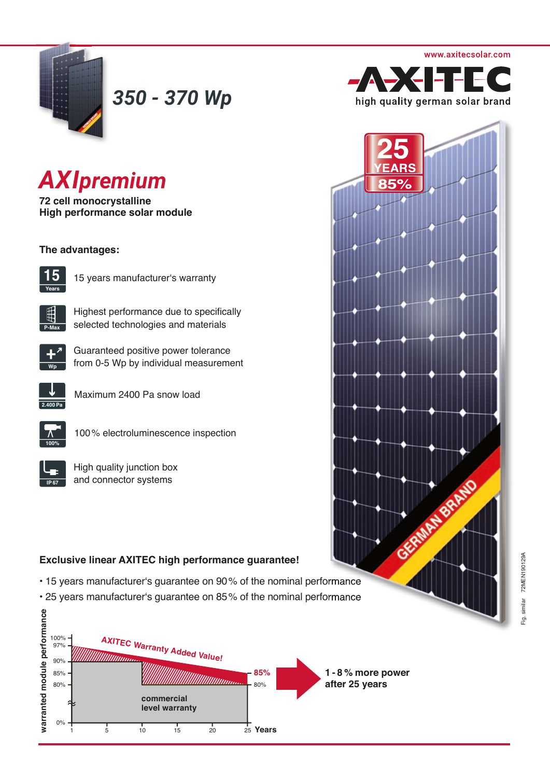

*350 - 370 Wp*

# *AXIpremium*

**72 cell monocrystalline High performance solar module** 

## **The advantages:**



15 years manufacturer's warranty



Highest performance due to specifically selected technologies and materials



Guaranteed positive power tolerance from 0-5 Wp by individual measurement



Maximum 2400 Pa snow load



100% electroluminescence inspection

High quality junction box and connector systems

# **Exclusive linear AXITEC high performance guarantee!**

- 15 years manufacturer's guarantee on 90% of the nominal performance
- 25 years manufacturer's guarantee on 85% of the nominal performance